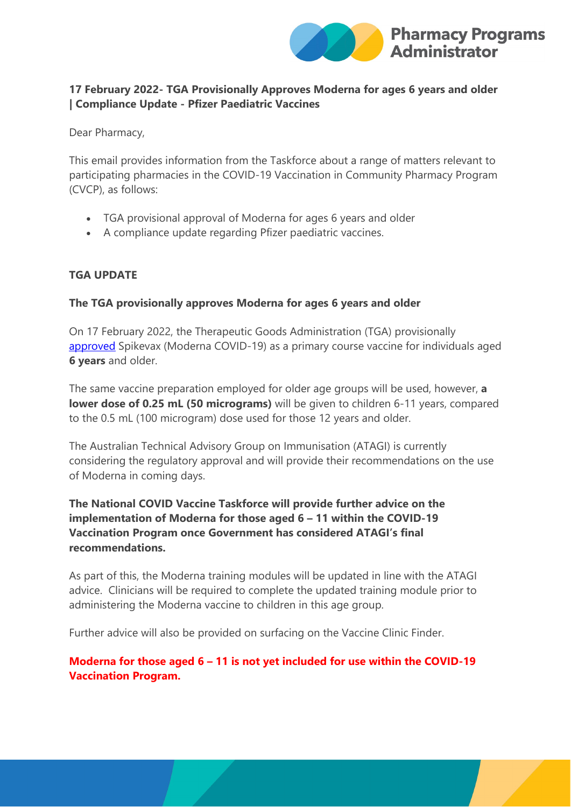

## **17 February 2022- TGA Provisionally Approves Moderna for ages 6 years and older | Compliance Update - Pfizer Paediatric Vaccines**

Dear Pharmacy,

This email provides information from the Taskforce about a range of matters relevant to participating pharmacies in the COVID-19 Vaccination in Community Pharmacy Program (CVCP), as follows:

- TGA provisional approval of Moderna for ages 6 years and older
- A compliance update regarding Pfizer paediatric vaccines.

## **TGA UPDATE**

## **The TGA provisionally approves Moderna for ages 6 years and older**

On 17 February 2022, the Therapeutic Goods Administration (TGA) provisionally [approved](https://protect-au.mimecast.com/s/3m28CBNqZ6SPkAYSz9bOU?domain=tga.gov.au) Spikevax (Moderna COVID-19) as a primary course vaccine for individuals aged **6 years** and older.

The same vaccine preparation employed for older age groups will be used, however, **a lower dose of 0.25 mL (50 micrograms)** will be given to children 6-11 years, compared to the 0.5 mL (100 microgram) dose used for those 12 years and older.

The Australian Technical Advisory Group on Immunisation (ATAGI) is currently considering the regulatory approval and will provide their recommendations on the use of Moderna in coming days.

# **The National COVID Vaccine Taskforce will provide further advice on the implementation of Moderna for those aged 6 – 11 within the COVID-19 Vaccination Program once Government has considered ATAGI's final recommendations.**

As part of this, the Moderna training modules will be updated in line with the ATAGI advice. Clinicians will be required to complete the updated training module prior to administering the Moderna vaccine to children in this age group.

Further advice will also be provided on surfacing on the Vaccine Clinic Finder.

# **Moderna for those aged 6 – 11 is not yet included for use within the COVID-19 Vaccination Program.**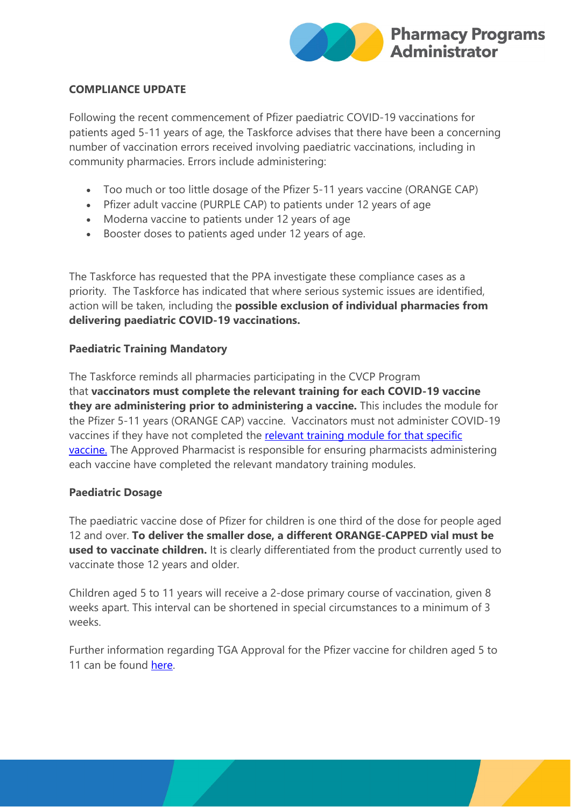

### **COMPLIANCE UPDATE**

Following the recent commencement of Pfizer paediatric COVID-19 vaccinations for patients aged 5-11 years of age, the Taskforce advises that there have been a concerning number of vaccination errors received involving paediatric vaccinations, including in community pharmacies. Errors include administering:

- Too much or too little dosage of the Pfizer 5-11 years vaccine (ORANGE CAP)
- Pfizer adult vaccine (PURPLE CAP) to patients under 12 years of age
- Moderna vaccine to patients under 12 years of age
- Booster doses to patients aged under 12 years of age.

The Taskforce has requested that the PPA investigate these compliance cases as a priority. The Taskforce has indicated that where serious systemic issues are identified, action will be taken, including the **possible exclusion of individual pharmacies from delivering paediatric COVID-19 vaccinations.**

### **Paediatric Training Mandatory**

The Taskforce reminds all pharmacies participating in the CVCP Program that **vaccinators must complete the relevant training for each COVID-19 vaccine they are administering prior to administering a vaccine.** This includes the module for the Pfizer 5-11 years (ORANGE CAP) vaccine. Vaccinators must not administer COVID-19 vaccines if they have not completed the [relevant training module](https://covid19vaccinationtraining.org.au/login/index.php) for that specific [vaccine.](https://covid19vaccinationtraining.org.au/login/index.php) The Approved Pharmacist is responsible for ensuring pharmacists administering each vaccine have completed the relevant mandatory training modules.

### **Paediatric Dosage**

The paediatric vaccine dose of Pfizer for children is one third of the dose for people aged 12 and over. **To deliver the smaller dose, a different ORANGE-CAPPED vial must be used to vaccinate children.** It is clearly differentiated from the product currently used to vaccinate those 12 years and older.

Children aged 5 to 11 years will receive a 2-dose primary course of vaccination, given 8 weeks apart. This interval can be shortened in special circumstances to a minimum of 3 weeks.

Further information regarding TGA Approval for the Pfizer vaccine for children aged 5 to 11 can be found [here.](https://www.tga.gov.au/media-release/pfizers-covid-19-vaccine-comirnaty-provisionally-approved-use-individuals-5-years-and-over)